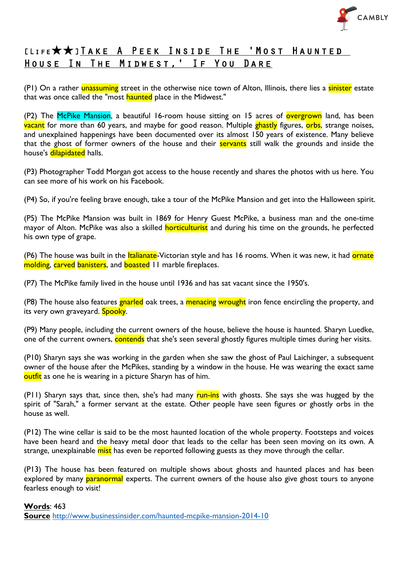

## [Life★★]Take A Peek Inside The 'Most Haunted House In The Midwest,' If You Dare

(P1) On a rather unassuming street in the otherwise nice town of Alton, Illinois, there lies a sinister estate that was once called the "most haunted place in the Midwest."

(P2) The McPike Mansion, a beautiful 16-room house sitting on 15 acres of overgrown land, has been vacant for more than 60 years, and maybe for good reason. Multiple ghastly figures, orbs, strange noises, and unexplained happenings have been documented over its almost 150 years of existence. Many believe that the ghost of former owners of the house and their servants still walk the grounds and inside the house's dilapidated halls.

(P3) Photographer Todd Morgan got access to the house recently and shares the photos with us here. You can see more of his work on his Facebook.

(P4) So, if you're feeling brave enough, take a tour of the McPike Mansion and get into the Halloween spirit.

(P5) The McPike Mansion was built in 1869 for Henry Guest McPike, a business man and the one-time mayor of Alton. McPike was also a skilled **horticulturist** and during his time on the grounds, he perfected his own type of grape.

(P6) The house was built in the *Italianate*-Victorian style and has 16 rooms. When it was new, it had **ornate** molding, carved banisters, and boasted 11 marble fireplaces.

(P7) The McPike family lived in the house until 1936 and has sat vacant since the 1950's.

(P8) The house also features gnarled oak trees, a menacing wrought iron fence encircling the property, and its very own graveyard. Spooky.

(P9) Many people, including the current owners of the house, believe the house is haunted. Sharyn Luedke, one of the current owners, contends that she's seen several ghostly figures multiple times during her visits.

(P10) Sharyn says she was working in the garden when she saw the ghost of Paul Laichinger, a subsequent owner of the house after the McPikes, standing by a window in the house. He was wearing the exact same outfit as one he is wearing in a picture Sharyn has of him.

(P11) Sharyn says that, since then, she's had many run-ins with ghosts. She says she was hugged by the spirit of "Sarah," a former servant at the estate. Other people have seen figures or ghostly orbs in the house as well.

(P12) The wine cellar is said to be the most haunted location of the whole property. Footsteps and voices have been heard and the heavy metal door that leads to the cellar has been seen moving on its own. A strange, unexplainable mist has even be reported following guests as they move through the cellar.

(P13) The house has been featured on multiple shows about ghosts and haunted places and has been explored by many **paranormal** experts. The current owners of the house also give ghost tours to anyone fearless enough to visit!

#### **Words**: 463

**Source** http://www.businessinsider.com/haunted-mcpike-mansion-2014-10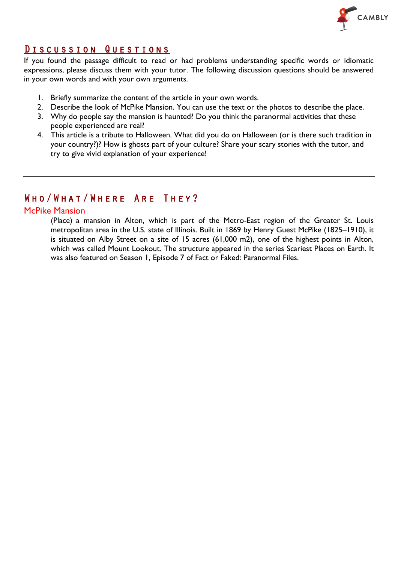

#### Discussion Questions

If you found the passage difficult to read or had problems understanding specific words or idiomatic expressions, please discuss them with your tutor. The following discussion questions should be answered in your own words and with your own arguments.

- 1. Briefly summarize the content of the article in your own words.
- 2. Describe the look of McPike Mansion. You can use the text or the photos to describe the place.
- 3. Why do people say the mansion is haunted? Do you think the paranormal activities that these people experienced are real?
- 4. This article is a tribute to Halloween. What did you do on Halloween (or is there such tradition in your country?)? How is ghosts part of your culture? Share your scary stories with the tutor, and try to give vivid explanation of your experience!

### Who/What/Where Are They?

#### McPike Mansion

(Place) a mansion in Alton, which is part of the Metro-East region of the Greater St. Louis metropolitan area in the U.S. state of Illinois. Built in 1869 by Henry Guest McPike (1825–1910), it is situated on Alby Street on a site of 15 acres (61,000 m2), one of the highest points in Alton, which was called Mount Lookout. The structure appeared in the series Scariest Places on Earth. It was also featured on Season 1, Episode 7 of Fact or Faked: Paranormal Files.